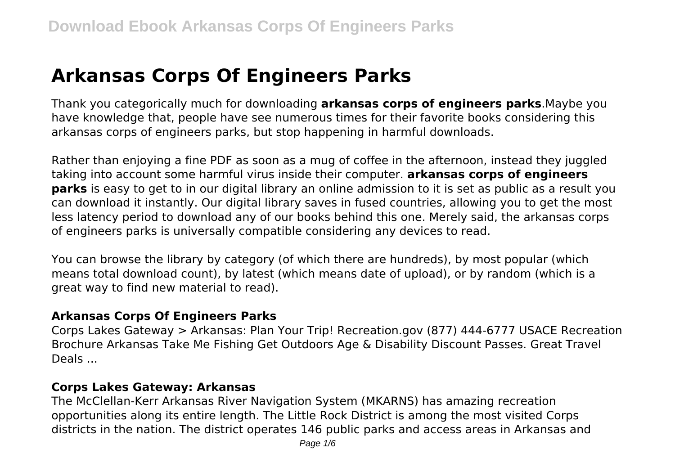# **Arkansas Corps Of Engineers Parks**

Thank you categorically much for downloading **arkansas corps of engineers parks**.Maybe you have knowledge that, people have see numerous times for their favorite books considering this arkansas corps of engineers parks, but stop happening in harmful downloads.

Rather than enjoying a fine PDF as soon as a mug of coffee in the afternoon, instead they juggled taking into account some harmful virus inside their computer. **arkansas corps of engineers parks** is easy to get to in our digital library an online admission to it is set as public as a result you can download it instantly. Our digital library saves in fused countries, allowing you to get the most less latency period to download any of our books behind this one. Merely said, the arkansas corps of engineers parks is universally compatible considering any devices to read.

You can browse the library by category (of which there are hundreds), by most popular (which means total download count), by latest (which means date of upload), or by random (which is a great way to find new material to read).

#### **Arkansas Corps Of Engineers Parks**

Corps Lakes Gateway > Arkansas: Plan Your Trip! Recreation.gov (877) 444-6777 USACE Recreation Brochure Arkansas Take Me Fishing Get Outdoors Age & Disability Discount Passes. Great Travel Deals ...

#### **Corps Lakes Gateway: Arkansas**

The McClellan-Kerr Arkansas River Navigation System (MKARNS) has amazing recreation opportunities along its entire length. The Little Rock District is among the most visited Corps districts in the nation. The district operates 146 public parks and access areas in Arkansas and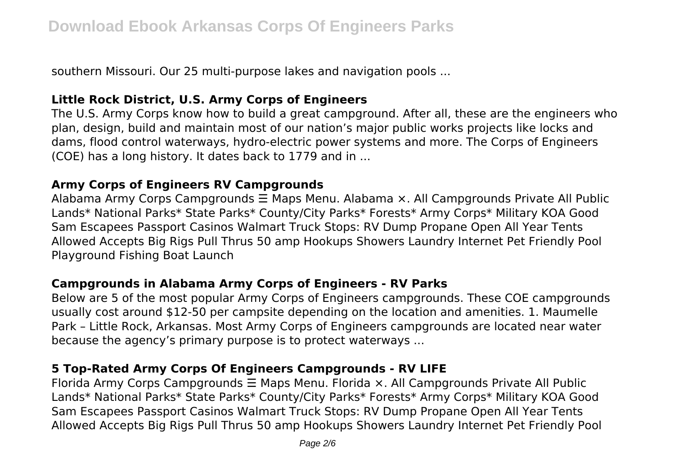southern Missouri. Our 25 multi-purpose lakes and navigation pools ...

#### **Little Rock District, U.S. Army Corps of Engineers**

The U.S. Army Corps know how to build a great campground. After all, these are the engineers who plan, design, build and maintain most of our nation's major public works projects like locks and dams, flood control waterways, hydro-electric power systems and more. The Corps of Engineers (COE) has a long history. It dates back to 1779 and in ...

#### **Army Corps of Engineers RV Campgrounds**

Alabama Army Corps Campgrounds ☰ Maps Menu. Alabama ×. All Campgrounds Private All Public Lands\* National Parks\* State Parks\* County/City Parks\* Forests\* Army Corps\* Military KOA Good Sam Escapees Passport Casinos Walmart Truck Stops: RV Dump Propane Open All Year Tents Allowed Accepts Big Rigs Pull Thrus 50 amp Hookups Showers Laundry Internet Pet Friendly Pool Playground Fishing Boat Launch

#### **Campgrounds in Alabama Army Corps of Engineers - RV Parks**

Below are 5 of the most popular Army Corps of Engineers campgrounds. These COE campgrounds usually cost around \$12-50 per campsite depending on the location and amenities. 1. Maumelle Park – Little Rock, Arkansas. Most Army Corps of Engineers campgrounds are located near water because the agency's primary purpose is to protect waterways ...

#### **5 Top-Rated Army Corps Of Engineers Campgrounds - RV LIFE**

Florida Army Corps Campgrounds ☰ Maps Menu. Florida ×. All Campgrounds Private All Public Lands\* National Parks\* State Parks\* County/City Parks\* Forests\* Army Corps\* Military KOA Good Sam Escapees Passport Casinos Walmart Truck Stops: RV Dump Propane Open All Year Tents Allowed Accepts Big Rigs Pull Thrus 50 amp Hookups Showers Laundry Internet Pet Friendly Pool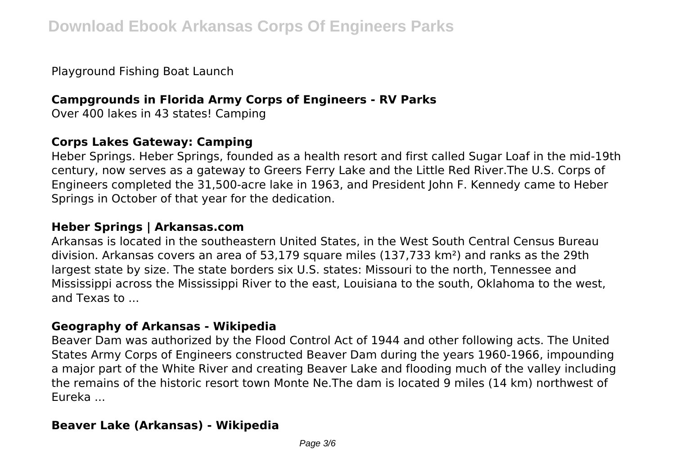Playground Fishing Boat Launch

## **Campgrounds in Florida Army Corps of Engineers - RV Parks**

Over 400 lakes in 43 states! Camping

## **Corps Lakes Gateway: Camping**

Heber Springs. Heber Springs, founded as a health resort and first called Sugar Loaf in the mid-19th century, now serves as a gateway to Greers Ferry Lake and the Little Red River.The U.S. Corps of Engineers completed the 31,500-acre lake in 1963, and President John F. Kennedy came to Heber Springs in October of that year for the dedication.

## **Heber Springs | Arkansas.com**

Arkansas is located in the southeastern United States, in the West South Central Census Bureau division. Arkansas covers an area of 53,179 square miles (137,733 km²) and ranks as the 29th largest state by size. The state borders six U.S. states: Missouri to the north, Tennessee and Mississippi across the Mississippi River to the east, Louisiana to the south, Oklahoma to the west, and Texas to ...

## **Geography of Arkansas - Wikipedia**

Beaver Dam was authorized by the Flood Control Act of 1944 and other following acts. The United States Army Corps of Engineers constructed Beaver Dam during the years 1960-1966, impounding a major part of the White River and creating Beaver Lake and flooding much of the valley including the remains of the historic resort town Monte Ne.The dam is located 9 miles (14 km) northwest of Eureka ...

## **Beaver Lake (Arkansas) - Wikipedia**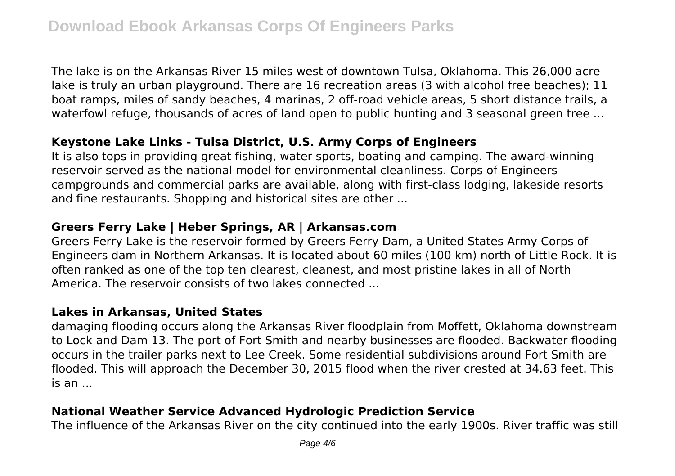The lake is on the Arkansas River 15 miles west of downtown Tulsa, Oklahoma. This 26,000 acre lake is truly an urban playground. There are 16 recreation areas (3 with alcohol free beaches); 11 boat ramps, miles of sandy beaches, 4 marinas, 2 off-road vehicle areas, 5 short distance trails, a waterfowl refuge, thousands of acres of land open to public hunting and 3 seasonal green tree ...

#### **Keystone Lake Links - Tulsa District, U.S. Army Corps of Engineers**

It is also tops in providing great fishing, water sports, boating and camping. The award-winning reservoir served as the national model for environmental cleanliness. Corps of Engineers campgrounds and commercial parks are available, along with first-class lodging, lakeside resorts and fine restaurants. Shopping and historical sites are other ...

### **Greers Ferry Lake | Heber Springs, AR | Arkansas.com**

Greers Ferry Lake is the reservoir formed by Greers Ferry Dam, a United States Army Corps of Engineers dam in Northern Arkansas. It is located about 60 miles (100 km) north of Little Rock. It is often ranked as one of the top ten clearest, cleanest, and most pristine lakes in all of North America. The reservoir consists of two lakes connected ...

#### **Lakes in Arkansas, United States**

damaging flooding occurs along the Arkansas River floodplain from Moffett, Oklahoma downstream to Lock and Dam 13. The port of Fort Smith and nearby businesses are flooded. Backwater flooding occurs in the trailer parks next to Lee Creek. Some residential subdivisions around Fort Smith are flooded. This will approach the December 30, 2015 flood when the river crested at 34.63 feet. This is an ...

## **National Weather Service Advanced Hydrologic Prediction Service**

The influence of the Arkansas River on the city continued into the early 1900s. River traffic was still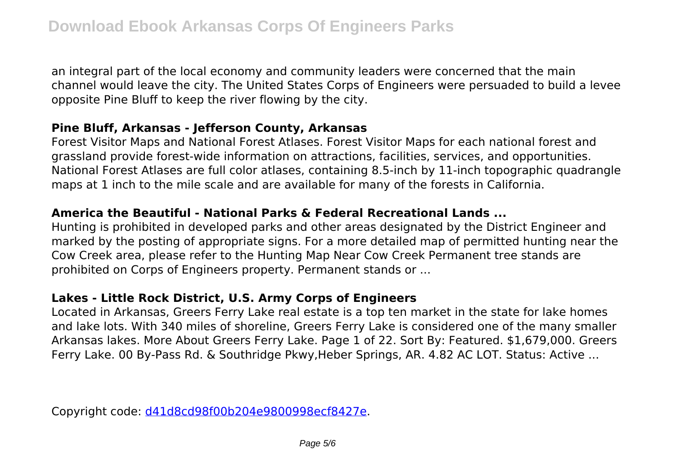an integral part of the local economy and community leaders were concerned that the main channel would leave the city. The United States Corps of Engineers were persuaded to build a levee opposite Pine Bluff to keep the river flowing by the city.

### **Pine Bluff, Arkansas - Jefferson County, Arkansas**

Forest Visitor Maps and National Forest Atlases. Forest Visitor Maps for each national forest and grassland provide forest-wide information on attractions, facilities, services, and opportunities. National Forest Atlases are full color atlases, containing 8.5-inch by 11-inch topographic quadrangle maps at 1 inch to the mile scale and are available for many of the forests in California.

## **America the Beautiful - National Parks & Federal Recreational Lands ...**

Hunting is prohibited in developed parks and other areas designated by the District Engineer and marked by the posting of appropriate signs. For a more detailed map of permitted hunting near the Cow Creek area, please refer to the Hunting Map Near Cow Creek Permanent tree stands are prohibited on Corps of Engineers property. Permanent stands or ...

## **Lakes - Little Rock District, U.S. Army Corps of Engineers**

Located in Arkansas, Greers Ferry Lake real estate is a top ten market in the state for lake homes and lake lots. With 340 miles of shoreline, Greers Ferry Lake is considered one of the many smaller Arkansas lakes. More About Greers Ferry Lake. Page 1 of 22. Sort By: Featured. \$1,679,000. Greers Ferry Lake. 00 By-Pass Rd. & Southridge Pkwy,Heber Springs, AR. 4.82 AC LOT. Status: Active ...

Copyright code: [d41d8cd98f00b204e9800998ecf8427e.](/sitemap.xml)